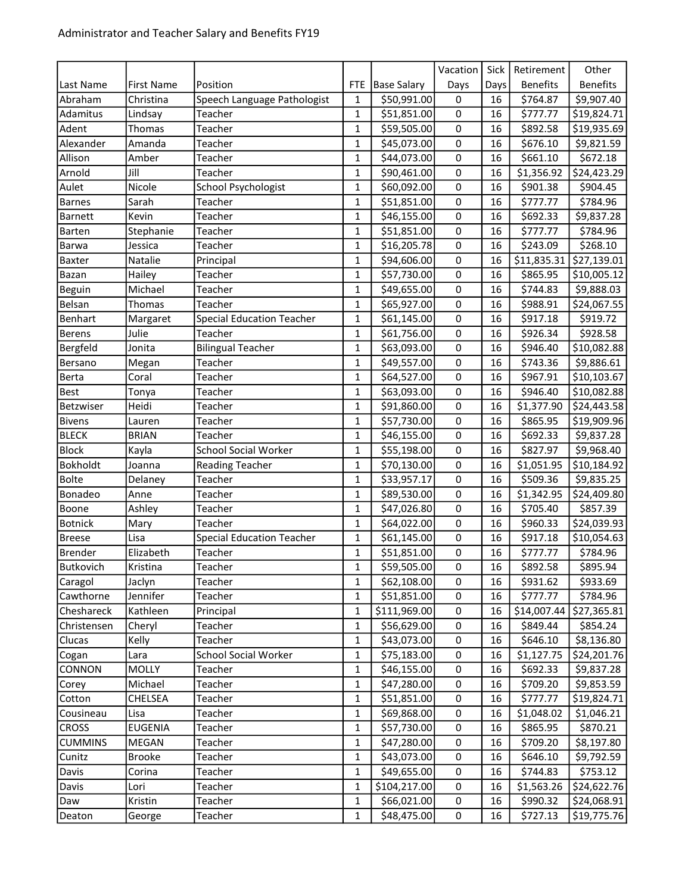|                |                   |                                  |              |                    | Vacation         | Sick            | Retirement      | Other                     |
|----------------|-------------------|----------------------------------|--------------|--------------------|------------------|-----------------|-----------------|---------------------------|
| Last Name      | <b>First Name</b> | Position                         | <b>FTE</b>   | <b>Base Salary</b> | Days             | Days            | <b>Benefits</b> | <b>Benefits</b>           |
| Abraham        | Christina         | Speech Language Pathologist      | 1            | \$50,991.00        | 0                | 16              | \$764.87        | \$9,907.40                |
| Adamitus       | Lindsay           | Teacher                          | 1            | \$51,851.00        | 0                | 16              | \$777.77        | \$19,824.71               |
| Adent          | Thomas            | Teacher                          | $\mathbf 1$  | \$59,505.00        | 0                | 16              | \$892.58        | \$19,935.69               |
| Alexander      | Amanda            | Teacher                          | 1            | \$45,073.00        | 0                | 16              | \$676.10        | \$9,821.59                |
| Allison        | Amber             | Teacher                          | $\mathbf{1}$ | \$44,073.00        | $\mathsf 0$      | 16              | \$661.10        | \$672.18                  |
| Arnold         | Jill              | Teacher                          | 1            | \$90,461.00        | 0                | 16              | \$1,356.92      | \$24,423.29               |
| Aulet          | Nicole            | School Psychologist              | $\mathbf{1}$ | \$60,092.00        | 0                | 16              | \$901.38        | \$904.45                  |
| <b>Barnes</b>  | Sarah             | Teacher                          | $\mathbf 1$  | \$51,851.00        | 0                | 16              | \$777.77        | \$784.96                  |
| <b>Barnett</b> | Kevin             | Teacher                          | 1            | \$46,155.00        | 0                | 16              | \$692.33        | \$9,837.28                |
| Barten         | Stephanie         | Teacher                          | 1            | \$51,851.00        | 0                | 16              | \$777.77        | \$784.96                  |
| Barwa          | Jessica           | Teacher                          | $\mathbf 1$  | \$16,205.78        | $\mathsf 0$      | 16              | \$243.09        | \$268.10                  |
| Baxter         | Natalie           | Principal                        | 1            | \$94,606.00        | 0                | 16              | \$11,835.31     | \$27,139.01               |
| Bazan          | Hailey            | Teacher                          | 1            | \$57,730.00        | 0                | 16              | \$865.95        | \$10,005.12               |
| Beguin         | Michael           | Teacher                          | $\mathbf 1$  | \$49,655.00        | 0                | 16              | \$744.83        | \$9,888.03                |
| Belsan         | Thomas            | Teacher                          | 1            | \$65,927.00        | $\mathbf 0$      | 16              | \$988.91        | \$24,067.55               |
| Benhart        | Margaret          | <b>Special Education Teacher</b> | 1            | \$61,145.00        | 0                | 16              | \$917.18        | \$919.72                  |
| <b>Berens</b>  | Julie             | Teacher                          | 1            | \$61,756.00        | 0                | 16              | \$926.34        | \$928.58                  |
| Bergfeld       | Jonita            | <b>Bilingual Teacher</b>         | 1            | \$63,093.00        | 0                | 16              | \$946.40        | \$10,082.88               |
| Bersano        | Megan             | Teacher                          | $\mathbf{1}$ | \$49,557.00        | 0                | 16              | \$743.36        | \$9,886.61                |
| Berta          | Coral             | Teacher                          | 1            | \$64,527.00        | 0                | 16              | \$967.91        | \$10,103.67               |
| <b>Best</b>    | Tonya             | Teacher                          | $\mathbf 1$  | \$63,093.00        | $\boldsymbol{0}$ | 16              | \$946.40        | \$10,082.88               |
| Betzwiser      | Heidi             | Teacher                          | 1            | \$91,860.00        | 0                | 16              | \$1,377.90      | \$24,443.58               |
| <b>Bivens</b>  | Lauren            | Teacher                          | 1            | \$57,730.00        | 0                | 16              | \$865.95        | \$19,909.96               |
| <b>BLECK</b>   | <b>BRIAN</b>      | Teacher                          | 1            | \$46,155.00        | $\pmb{0}$        | 16              | \$692.33        | \$9,837.28                |
| <b>Block</b>   | Kayla             | <b>School Social Worker</b>      | 1            | \$55,198.00        | 0                | 16              | \$827.97        | \$9,968.40                |
| Bokholdt       | Joanna            | <b>Reading Teacher</b>           | 1            | \$70,130.00        | 0                | 16              | \$1,051.95      | \$10,184.92               |
| <b>Bolte</b>   | Delaney           | Teacher                          | $\mathbf 1$  | \$33,957.17        | $\boldsymbol{0}$ | 16              | \$509.36        | \$9,835.25                |
| Bonadeo        | Anne              | Teacher                          | $\mathbf 1$  | \$89,530.00        | 0                | 16              | \$1,342.95      | \$24,409.80               |
| Boone          | Ashley            | Teacher                          | 1            | \$47,026.80        | 0                | 16              | \$705.40        | \$857.39                  |
| <b>Botnick</b> | Mary              | Teacher                          | $\mathbf 1$  | \$64,022.00        | $\pmb{0}$        | 16              | \$960.33        | \$24,039.93               |
| <b>Breese</b>  | Lisa              | <b>Special Education Teacher</b> | 1            | \$61,145.00        | 0                | 16              | \$917.18        | \$10,054.63               |
| <b>Brender</b> | Elizabeth         | Teacher                          | $\mathbf 1$  | \$51,851.00        | 0                | 16              | \$777.77        | \$784.96                  |
| Butkovich      | Kristina          | Teacher                          | $\mathbf{1}$ | \$59,505.00        | $\pmb{0}$        | $\overline{16}$ | \$892.58        | \$895.94                  |
| Caragol        | Jaclyn            | Teacher                          | 1            | \$62,108.00        | 0                | 16              | \$931.62        | \$933.69                  |
| Cawthorne      | Jennifer          | Teacher                          | 1            | \$51,851.00        | 0                | 16              | \$777.77        | \$784.96                  |
| Cheshareck     | Kathleen          | Principal                        | $\mathbf 1$  | \$111,969.00       | $\pmb{0}$        | 16              |                 | $$14,007.44$ $$27,365.81$ |
| Christensen    | Cheryl            | Teacher                          | 1            | \$56,629.00        | 0                | 16              | \$849.44        | \$854.24                  |
| Clucas         | Kelly             | Teacher                          | 1            | \$43,073.00        | 0                | 16              | \$646.10        | \$8,136.80                |
| Cogan          | Lara              | <b>School Social Worker</b>      | $\mathbf 1$  | \$75,183.00        | $\pmb{0}$        | 16              | \$1,127.75      | \$24,201.76               |
| CONNON         | <b>MOLLY</b>      | Teacher                          | 1            | \$46,155.00        | 0                | 16              | \$692.33        | \$9,837.28                |
| Corey          | Michael           | Teacher                          | 1            | \$47,280.00        | 0                | 16              | \$709.20        | \$9,853.59                |
| Cotton         | CHELSEA           | Teacher                          | 1            | \$51,851.00        | 0                | 16              | \$777.77        | \$19,824.71               |
| Cousineau      | Lisa              | Teacher                          | 1            | \$69,868.00        | 0                | 16              | \$1,048.02      | \$1,046.21                |
| <b>CROSS</b>   | <b>EUGENIA</b>    | Teacher                          | 1            | \$57,730.00        | 0                | 16              | \$865.95        | \$870.21                  |
| <b>CUMMINS</b> | MEGAN             | Teacher                          | 1            | \$47,280.00        | 0                | 16              | \$709.20        | \$8,197.80                |
| Cunitz         | <b>Brooke</b>     | Teacher                          | 1            | \$43,073.00        | 0                | 16              | \$646.10        | \$9,792.59                |
| Davis          | Corina            | Teacher                          | 1            | \$49,655.00        | 0                | 16              | \$744.83        | \$753.12                  |
| Davis          | Lori              | Teacher                          | 1            | \$104,217.00       | 0                | 16              | \$1,563.26      | \$24,622.76               |
| Daw            | Kristin           | Teacher                          | 1            | \$66,021.00        | 0                | 16              | \$990.32        | \$24,068.91               |
| Deaton         | George            | Teacher                          | 1            | \$48,475.00        | 0                | 16              | \$727.13        | \$19,775.76               |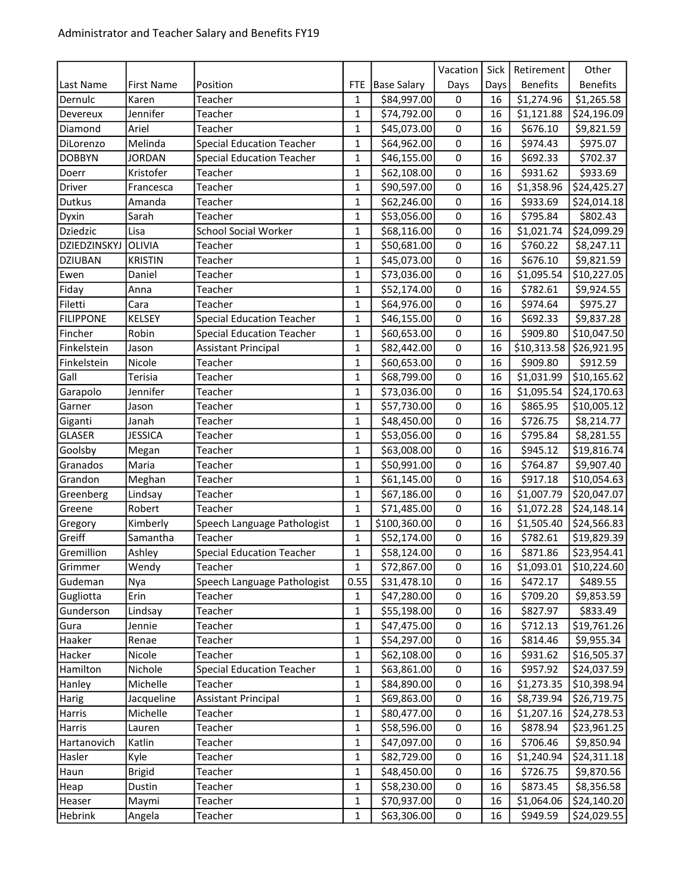|                  |                   |                                  |              |                    | Vacation         | Sick | Retirement      | Other                     |
|------------------|-------------------|----------------------------------|--------------|--------------------|------------------|------|-----------------|---------------------------|
| Last Name        | <b>First Name</b> | Position                         | <b>FTE</b>   | <b>Base Salary</b> | Days             | Days | <b>Benefits</b> | <b>Benefits</b>           |
| Dernulc          | Karen             | Teacher                          | 1            | \$84,997.00        | 0                | 16   | \$1,274.96      | \$1,265.58                |
| Devereux         | Jennifer          | Teacher                          | $\mathbf 1$  | \$74,792.00        | $\boldsymbol{0}$ | 16   | \$1,121.88      | \$24,196.09               |
| Diamond          | Ariel             | Teacher                          | $\mathbf 1$  | \$45,073.00        | 0                | 16   | \$676.10        | \$9,821.59                |
| DiLorenzo        | Melinda           | <b>Special Education Teacher</b> | 1            | \$64,962.00        | $\mathbf 0$      | 16   | \$974.43        | \$975.07                  |
| <b>DOBBYN</b>    | <b>JORDAN</b>     | <b>Special Education Teacher</b> | $\mathbf 1$  | \$46,155.00        | $\pmb{0}$        | 16   | \$692.33        | \$702.37                  |
| Doerr            | Kristofer         | Teacher                          | 1            | \$62,108.00        | 0                | 16   | \$931.62        | \$933.69                  |
| Driver           | Francesca         | Teacher                          | $\mathbf{1}$ | \$90,597.00        | 0                | 16   | \$1,358.96      | \$24,425.27               |
| Dutkus           | Amanda            | Teacher                          | $\mathbf{1}$ | \$62,246.00        | $\pmb{0}$        | 16   | \$933.69        | \$24,014.18               |
| Dyxin            | Sarah             | Teacher                          | 1            | \$53,056.00        | $\boldsymbol{0}$ | 16   | \$795.84        | \$802.43                  |
| Dziedzic         | Lisa              | <b>School Social Worker</b>      | $\mathbf 1$  | \$68,116.00        | 0                | 16   | \$1,021.74      | \$24,099.29               |
| DZIEDZINSKYJ     | OLIVIA            | Teacher                          | $\mathbf 1$  | \$50,681.00        | $\mathsf 0$      | 16   | \$760.22        | \$8,247.11                |
| <b>DZIUBAN</b>   | <b>KRISTIN</b>    | Teacher                          | 1            | \$45,073.00        | 0                | 16   | \$676.10        | \$9,821.59                |
| Ewen             | Daniel            | Teacher                          | 1            | \$73,036.00        | 0                | 16   | \$1,095.54      | \$10,227.05               |
| Fiday            | Anna              | Teacher                          | $\mathbf 1$  | \$52,174.00        | 0                | 16   | \$782.61        | \$9,924.55                |
| Filetti          | Cara              | Teacher                          | 1            | \$64,976.00        | $\mathbf 0$      | 16   | \$974.64        | \$975.27                  |
| <b>FILIPPONE</b> | <b>KELSEY</b>     | <b>Special Education Teacher</b> | 1            | \$46,155.00        | 0                | 16   | \$692.33        | \$9,837.28                |
| Fincher          | Robin             | <b>Special Education Teacher</b> | 1            | \$60,653.00        | $\pmb{0}$        | 16   | \$909.80        | \$10,047.50               |
| Finkelstein      | Jason             | <b>Assistant Principal</b>       | 1            | \$82,442.00        | 0                | 16   |                 | $$10,313.58$ $$26,921.95$ |
| Finkelstein      | Nicole            | Teacher                          | $\mathbf{1}$ | \$60,653.00        | 0                | 16   | \$909.80        | \$912.59                  |
| Gall             | Terisia           | Teacher                          | 1            | \$68,799.00        | $\pmb{0}$        | 16   | \$1,031.99      | \$10,165.62               |
| Garapolo         | Jennifer          | Teacher                          | $\mathbf 1$  | \$73,036.00        | $\boldsymbol{0}$ | 16   | \$1,095.54      | \$24,170.63               |
| Garner           | Jason             | Teacher                          | 1            | \$57,730.00        | 0                | 16   | \$865.95        | \$10,005.12               |
| Giganti          | Janah             | Teacher                          | 1            | \$48,450.00        | 0                | 16   | \$726.75        | \$8,214.77                |
| <b>GLASER</b>    | <b>JESSICA</b>    | Teacher                          | 1            | \$53,056.00        | $\pmb{0}$        | 16   | \$795.84        | \$8,281.55                |
| Goolsby          | Megan             | Teacher                          | $\mathbf 1$  | \$63,008.00        | 0                | 16   | \$945.12        | \$19,816.74               |
| Granados         | Maria             | Teacher                          | 1            | \$50,991.00        | 0                | 16   | \$764.87        | \$9,907.40                |
| Grandon          | Meghan            | Teacher                          | $\mathbf 1$  | \$61,145.00        | $\boldsymbol{0}$ | 16   | \$917.18        | \$10,054.63               |
| Greenberg        | Lindsay           | Teacher                          | $\mathbf 1$  | \$67,186.00        | 0                | 16   | \$1,007.79      | \$20,047.07               |
| Greene           | Robert            | Teacher                          | 1            | \$71,485.00        | 0                | 16   | \$1,072.28      | \$24,148.14               |
| Gregory          | Kimberly          | Speech Language Pathologist      | $\mathbf 1$  | \$100,360.00       | $\mathsf 0$      | 16   | \$1,505.40      | \$24,566.83               |
| Greiff           | Samantha          | Teacher                          | 1            | \$52,174.00        | 0                | 16   | \$782.61        | \$19,829.39               |
| Gremillion       | Ashley            | <b>Special Education Teacher</b> | $\mathbf 1$  | \$58,124.00        | 0                | 16   | \$871.86        | \$23,954.41               |
| Grimmer          | Wendy             | Teacher                          | $\mathbf{1}$ | \$72,867.00        | $\overline{0}$   | 16   | 51,093.01       | 510,224.60                |
| Gudeman          | Nya               | Speech Language Pathologist      | 0.55         | \$31,478.10        | 0                | 16   | \$472.17        | \$489.55                  |
| Gugliotta        | Erin              | Teacher                          | 1            | \$47,280.00        | 0                | 16   | \$709.20        | \$9,853.59                |
| Gunderson        | Lindsay           | Teacher                          | $\mathbf 1$  | \$55,198.00        | $\pmb{0}$        | 16   | \$827.97        | \$833.49                  |
| Gura             | Jennie            | Teacher                          | 1            | \$47,475.00        | 0                | 16   | \$712.13        | \$19,761.26               |
| Haaker           | Renae             | Teacher                          | 1            | \$54,297.00        | 0                | 16   | \$814.46        | \$9,955.34                |
| Hacker           | Nicole            | Teacher                          | $\mathbf 1$  | \$62,108.00        | $\pmb{0}$        | 16   | \$931.62        | \$16,505.37               |
| Hamilton         | Nichole           | <b>Special Education Teacher</b> | 1            | \$63,861.00        | $\pmb{0}$        | 16   | \$957.92        | \$24,037.59               |
| Hanley           | Michelle          | Teacher                          | 1            | \$84,890.00        | 0                | 16   | \$1,273.35      | \$10,398.94               |
| Harig            | Jacqueline        | <b>Assistant Principal</b>       | 1            | \$69,863.00        | 0                | 16   | \$8,739.94      | \$26,719.75               |
| Harris           | Michelle          | Teacher                          | 1            | \$80,477.00        | 0                | 16   | \$1,207.16      | \$24,278.53               |
| Harris           | Lauren            | Teacher                          | 1            | \$58,596.00        | 0                | 16   | \$878.94        | \$23,961.25               |
| Hartanovich      | Katlin            | Teacher                          | 1            | \$47,097.00        | 0                | 16   | \$706.46        | \$9,850.94                |
| Hasler           | Kyle              | Teacher                          | 1            | \$82,729.00        | 0                | 16   | \$1,240.94      | \$24,311.18               |
| Haun             | <b>Brigid</b>     | Teacher                          | 1            | \$48,450.00        | 0                | 16   | \$726.75        | \$9,870.56                |
| Heap             | Dustin            | Teacher                          | 1            | \$58,230.00        | 0                | 16   | \$873.45        | \$8,356.58                |
| Heaser           | Maymi             | Teacher                          | 1            | \$70,937.00        | 0                | 16   | \$1,064.06      | \$24,140.20               |
| Hebrink          | Angela            | Teacher                          | 1            | \$63,306.00        | $\pmb{0}$        | 16   | \$949.59        | \$24,029.55               |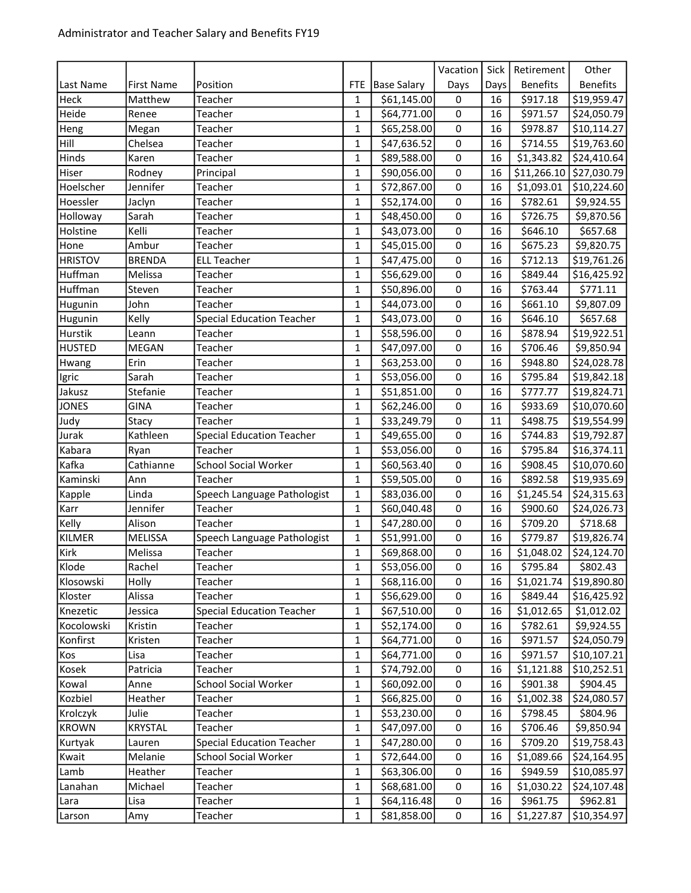|                |                   |                                  |              |                    | Vacation    | Sick | Retirement       | Other           |
|----------------|-------------------|----------------------------------|--------------|--------------------|-------------|------|------------------|-----------------|
| Last Name      | <b>First Name</b> | Position                         | <b>FTE</b>   | <b>Base Salary</b> | Days        | Days | <b>Benefits</b>  | <b>Benefits</b> |
| Heck           | Matthew           | Teacher                          | 1            | \$61,145.00        | 0           | 16   | \$917.18         | \$19,959.47     |
| Heide          | Renee             | Teacher                          | 1            | \$64,771.00        | 0           | 16   | \$971.57         | \$24,050.79     |
| Heng           | Megan             | Teacher                          | $\mathbf 1$  | \$65,258.00        | $\mathbf 0$ | 16   | \$978.87         | \$10,114.27     |
| Hill           | Chelsea           | Teacher                          | 1            | \$47,636.52        | 0           | 16   | \$714.55         | \$19,763.60     |
| Hinds          | Karen             | Teacher                          | 1            | \$89,588.00        | 0           | 16   | \$1,343.82       | \$24,410.64     |
| Hiser          | Rodney            | Principal                        | $\mathbf 1$  | \$90,056.00        | $\mathsf 0$ | 16   | \$11,266.10      | \$27,030.79     |
| Hoelscher      | Jennifer          | Teacher                          | 1            | \$72,867.00        | 0           | 16   | \$1,093.01       | \$10,224.60     |
| Hoessler       | Jaclyn            | Teacher                          | 1            | \$52,174.00        | 0           | 16   | \$782.61         | \$9,924.55      |
| Holloway       | Sarah             | Teacher                          | $\mathbf 1$  | \$48,450.00        | $\mathsf 0$ | 16   | \$726.75         | \$9,870.56      |
| Holstine       | Kelli             | Teacher                          | 1            | \$43,073.00        | 0           | 16   | \$646.10         | \$657.68        |
| Hone           | Ambur             | Teacher                          | 1            | \$45,015.00        | 0           | 16   | \$675.23         | \$9,820.75      |
| <b>HRISTOV</b> | <b>BRENDA</b>     | <b>ELL Teacher</b>               | 1            | \$47,475.00        | $\pmb{0}$   | 16   | \$712.13         | \$19,761.26     |
| Huffman        | Melissa           | Teacher                          | 1            | \$56,629.00        | 0           | 16   | \$849.44         | \$16,425.92     |
| Huffman        | Steven            | Teacher                          | 1            | \$50,896.00        | 0           | 16   | \$763.44         | \$771.11        |
| Hugunin        | John              | Teacher                          | 1            | \$44,073.00        | 0           | 16   | \$661.10         | \$9,807.09      |
| Hugunin        | Kelly             | <b>Special Education Teacher</b> | 1            | \$43,073.00        | $\mathbf 0$ | 16   | \$646.10         | \$657.68        |
| Hurstik        | Leann             | Teacher                          | 1            | \$58,596.00        | 0           | 16   | \$878.94         | \$19,922.51     |
| <b>HUSTED</b>  | <b>MEGAN</b>      | Teacher                          | 1            | \$47,097.00        | 0           | 16   | \$706.46         | \$9,850.94      |
| Hwang          | Erin              | Teacher                          | 1            | \$63,253.00        | 0           | 16   | \$948.80         | \$24,028.78     |
| Igric          | Sarah             | Teacher                          | 1            | \$53,056.00        | 0           | 16   | \$795.84         | \$19,842.18     |
| Jakusz         | Stefanie          | Teacher                          | 1            | \$51,851.00        | 0           | 16   | \$777.77         | \$19,824.71     |
| <b>JONES</b>   | <b>GINA</b>       | Teacher                          | 1            | \$62,246.00        | 0           | 16   | \$933.69         | \$10,070.60     |
| Judy           | Stacy             | Teacher                          | 1            | \$33,249.79        | 0           | 11   | \$498.75         | \$19,554.99     |
| Jurak          | Kathleen          | <b>Special Education Teacher</b> | 1            | \$49,655.00        | 0           | 16   | \$744.83         | \$19,792.87     |
| Kabara         | Ryan              | Teacher                          | 1            | \$53,056.00        | $\pmb{0}$   | 16   | \$795.84         | \$16,374.11     |
| Kafka          | Cathianne         | <b>School Social Worker</b>      | 1            | \$60,563.40        | 0           | 16   | \$908.45         | \$10,070.60     |
| Kaminski       | Ann               | Teacher                          | 1            | \$59,505.00        | 0           | 16   | \$892.58         | \$19,935.69     |
| Kapple         | Linda             | Speech Language Pathologist      | 1            | \$83,036.00        | $\mathbf 0$ | 16   | \$1,245.54       | \$24,315.63     |
| Karr           | Jennifer          | Teacher                          | 1            | \$60,040.48        | 0           | 16   | \$900.60         | \$24,026.73     |
| Kelly          | Alison            | Teacher                          | 1            | \$47,280.00        | 0           | 16   | \$709.20         | \$718.68        |
| KILMER         | <b>MELISSA</b>    | Speech Language Pathologist      | $\mathbf 1$  | \$51,991.00        | $\pmb{0}$   | 16   | \$779.87         | \$19,826.74     |
| Kirk           | Melissa           | Teacher                          | 1            | \$69,868.00        | 0           | 16   | \$1,048.02       | \$24,124.70     |
| Klode          | Rachel            | Teacher                          | $\mathbf 1$  | \$53,056.00        | $\mathsf 0$ | 16   | $\sqrt{5795.84}$ | \$802.43        |
| Klosowski      | Holly             | Teacher                          | $\mathbf{1}$ | \$68,116.00        | 0           | 16   | \$1,021.74       | \$19,890.80     |
| Kloster        | Alissa            | Teacher                          | 1            | \$56,629.00        | 0           | 16   | \$849.44         | \$16,425.92     |
| Knezetic       | Jessica           | <b>Special Education Teacher</b> | 1            | \$67,510.00        | 0           | 16   | \$1,012.65       | \$1,012.02      |
| Kocolowski     | Kristin           | Teacher                          | 1            | \$52,174.00        | 0           | 16   | \$782.61         | \$9,924.55      |
| Konfirst       | Kristen           | Teacher                          | 1            | \$64,771.00        | 0           | 16   | \$971.57         | \$24,050.79     |
| Kos            | Lisa              | Teacher                          | 1            | \$64,771.00        | 0           | 16   | \$971.57         | \$10,107.21     |
| Kosek          | Patricia          | Teacher                          | 1            | \$74,792.00        | 0           | 16   | \$1,121.88       | \$10,252.51     |
| Kowal          | Anne              | <b>School Social Worker</b>      | 1            | \$60,092.00        | 0           | 16   | \$901.38         | \$904.45        |
| Kozbiel        | Heather           | Teacher                          | 1            | \$66,825.00        | 0           | 16   | \$1,002.38       | \$24,080.57     |
| Krolczyk       | Julie             | Teacher                          | 1            | \$53,230.00        | 0           | 16   | \$798.45         | \$804.96        |
| <b>KROWN</b>   | <b>KRYSTAL</b>    | Teacher                          | 1            | \$47,097.00        | 0           | 16   | \$706.46         | \$9,850.94      |
| Kurtyak        | Lauren            | <b>Special Education Teacher</b> | 1            | \$47,280.00        | 0           | 16   | \$709.20         | \$19,758.43     |
| Kwait          | Melanie           | <b>School Social Worker</b>      | 1            | \$72,644.00        | 0           | 16   | \$1,089.66       | \$24,164.95     |
| Lamb           | Heather           | Teacher                          | 1            | \$63,306.00        | 0           | 16   | \$949.59         | \$10,085.97     |
| Lanahan        | Michael           | Teacher                          | 1            | \$68,681.00        | 0           | 16   | \$1,030.22       | \$24,107.48     |
| Lara           | Lisa              | Teacher                          | 1            | \$64,116.48        | 0           | 16   | \$961.75         | \$962.81        |
| Larson         | Amy               | Teacher                          | 1            | \$81,858.00        | 0           | 16   | \$1,227.87       | \$10,354.97     |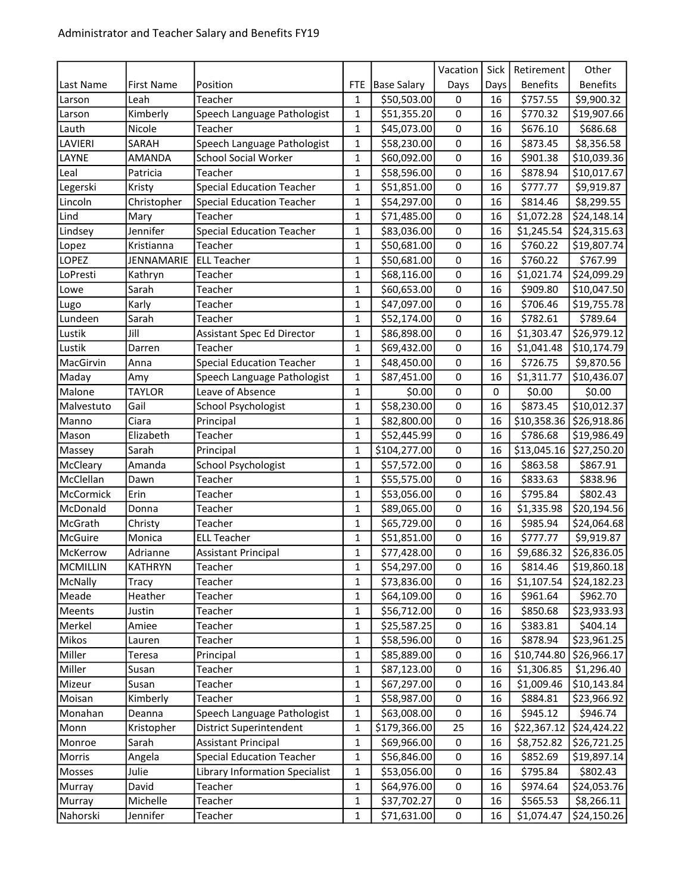|                 |                   |                                  |              |                    | Vacation       | Sick | Retirement      | Other                     |
|-----------------|-------------------|----------------------------------|--------------|--------------------|----------------|------|-----------------|---------------------------|
| Last Name       | <b>First Name</b> | Position                         | <b>FTE</b>   | <b>Base Salary</b> | Days           | Days | <b>Benefits</b> | <b>Benefits</b>           |
| Larson          | Leah              | Teacher                          | 1            | \$50,503.00        | 0              | 16   | \$757.55        | \$9,900.32                |
| Larson          | Kimberly          | Speech Language Pathologist      | 1            | \$51,355.20        | $\mathbf 0$    | 16   | \$770.32        | \$19,907.66               |
| Lauth           | Nicole            | Teacher                          | $\mathbf 1$  | \$45,073.00        | 0              | 16   | \$676.10        | \$686.68                  |
| LAVIERI         | SARAH             | Speech Language Pathologist      | 1            | \$58,230.00        | 0              | 16   | \$873.45        | \$8,356.58                |
| LAYNE           | <b>AMANDA</b>     | <b>School Social Worker</b>      | $\mathbf 1$  | \$60,092.00        | $\pmb{0}$      | 16   | \$901.38        | \$10,039.36               |
| Leal            | Patricia          | Teacher                          | 1            | \$58,596.00        | 0              | 16   | \$878.94        | \$10,017.67               |
| Legerski        | Kristy            | <b>Special Education Teacher</b> | $\mathbf{1}$ | \$51,851.00        | 0              | 16   | \$777.77        | \$9,919.87                |
| Lincoln         | Christopher       | <b>Special Education Teacher</b> | $\mathbf 1$  | \$54,297.00        | $\pmb{0}$      | 16   | \$814.46        | \$8,299.55                |
| Lind            | Mary              | Teacher                          | 1            | \$71,485.00        | $\mathbf 0$    | 16   | \$1,072.28      | \$24,148.14               |
| Lindsey         | Jennifer          | <b>Special Education Teacher</b> | 1            | \$83,036.00        | 0              | 16   | \$1,245.54      | \$24,315.63               |
| Lopez           | Kristianna        | Teacher                          | $\mathbf{1}$ | \$50,681.00        | $\mathsf 0$    | 16   | \$760.22        | \$19,807.74               |
| LOPEZ           | JENNAMARIE        | <b>ELL Teacher</b>               | 1            | \$50,681.00        | 0              | 16   | \$760.22        | \$767.99                  |
| LoPresti        | Kathryn           | Teacher                          | 1            | \$68,116.00        | 0              | 16   | \$1,021.74      | \$24,099.29               |
| Lowe            | Sarah             | Teacher                          | $\mathbf 1$  | \$60,653.00        | 0              | 16   | \$909.80        | \$10,047.50               |
| Lugo            | Karly             | Teacher                          | 1            | \$47,097.00        | $\mathbf 0$    | 16   | \$706.46        | \$19,755.78               |
| Lundeen         | Sarah             | Teacher                          | 1            | \$52,174.00        | 0              | 16   | \$782.61        | \$789.64                  |
| Lustik          | Jill              | Assistant Spec Ed Director       | 1            | \$86,898.00        | 0              | 16   | \$1,303.47      | \$26,979.12               |
| Lustik          | Darren            | Teacher                          | 1            | \$69,432.00        | 0              | 16   | \$1,041.48      | \$10,174.79               |
| MacGirvin       | Anna              | <b>Special Education Teacher</b> | $\mathbf{1}$ | \$48,450.00        | 0              | 16   | \$726.75        | \$9,870.56                |
| Maday           | Amy               | Speech Language Pathologist      | 1            | \$87,451.00        | $\pmb{0}$      | 16   | \$1,311.77      | \$10,436.07               |
| Malone          | <b>TAYLOR</b>     | Leave of Absence                 | $\mathbf 1$  | \$0.00             | $\mathbf 0$    | 0    | \$0.00          | \$0.00                    |
| Malvestuto      | Gail              | School Psychologist              | 1            | \$58,230.00        | 0              | 16   | \$873.45        | \$10,012.37               |
| Manno           | Ciara             | Principal                        | 1            | \$82,800.00        | 0              | 16   |                 | $$10,358.36$ $$26,918.86$ |
| Mason           | Elizabeth         | Teacher                          | 1            | \$52,445.99        | $\pmb{0}$      | 16   | \$786.68        | \$19,986.49               |
| Massey          | Sarah             | Principal                        | 1            | \$104,277.00       | 0              | 16   | \$13,045.16     | \$27,250.20               |
| McCleary        | Amanda            | School Psychologist              | 1            | \$57,572.00        | 0              | 16   | \$863.58        | \$867.91                  |
| McClellan       | Dawn              | Teacher                          | $\mathbf 1$  | \$55,575.00        | $\mathbf 0$    | 16   | \$833.63        | \$838.96                  |
| McCormick       | Erin              | Teacher                          | $\mathbf 1$  | \$53,056.00        | 0              | 16   | \$795.84        | \$802.43                  |
| McDonald        | Donna             | Teacher                          | 1            | \$89,065.00        | 0              | 16   | \$1,335.98      | \$20,194.56               |
| McGrath         | Christy           | Teacher                          | $\mathbf 1$  | \$65,729.00        | $\mathsf 0$    | 16   | \$985.94        | \$24,064.68               |
| McGuire         | Monica            | <b>ELL Teacher</b>               | 1            | \$51,851.00        | 0              | 16   | \$777.77        | \$9,919.87                |
| McKerrow        | Adrianne          | <b>Assistant Principal</b>       | 1            | \$77,428.00        | 0              | 16   | \$9,686.32      | \$26,836.05               |
| <b>MCMILLIN</b> | <b>KATHRYN</b>    | Teacher                          | $\mathbf 1$  | \$54,297.00        | $\overline{0}$ | 16   | \$814.46        | 519,860.18                |
| McNally         | Tracy             | Teacher                          | 1            | \$73,836.00        | 0              | 16   | \$1,107.54      | \$24,182.23               |
| Meade           | Heather           | Teacher                          | 1            | \$64,109.00        | 0              | 16   | \$961.64        | \$962.70                  |
| Meents          | Justin            | Teacher                          | $\mathbf 1$  | \$56,712.00        | $\pmb{0}$      | 16   | \$850.68        | \$23,933.93               |
| Merkel          | Amiee             | Teacher                          | 1            | \$25,587.25        | 0              | 16   | \$383.81        | \$404.14                  |
| Mikos           | Lauren            | Teacher                          | 1            | \$58,596.00        | 0              | 16   | \$878.94        | \$23,961.25               |
| Miller          | Teresa            | Principal                        | $\mathbf 1$  | \$85,889.00        | $\pmb{0}$      | 16   | \$10,744.80     | \$26,966.17               |
| Miller          | Susan             | Teacher                          | 1            | \$87,123.00        | $\pmb{0}$      | 16   | \$1,306.85      | \$1,296.40                |
| Mizeur          | Susan             | Teacher                          | 1            | \$67,297.00        | 0              | 16   | \$1,009.46      | \$10,143.84               |
| Moisan          | Kimberly          | Teacher                          | 1            | \$58,987.00        | 0              | 16   | \$884.81        | \$23,966.92               |
| Monahan         | Deanna            | Speech Language Pathologist      | 1            | \$63,008.00        | 0              | 16   | \$945.12        | \$946.74                  |
| Monn            | Kristopher        | District Superintendent          | 1            | \$179,366.00       | 25             | 16   |                 | $$22,367.12$ $$24,424.22$ |
| Monroe          | Sarah             | <b>Assistant Principal</b>       | 1            | \$69,966.00        | 0              | 16   | \$8,752.82      | \$26,721.25               |
| Morris          | Angela            | <b>Special Education Teacher</b> | 1            | \$56,846.00        | $\pmb{0}$      | 16   | \$852.69        | \$19,897.14               |
| Mosses          | Julie             | Library Information Specialist   | 1            | \$53,056.00        | 0              | 16   | \$795.84        | \$802.43                  |
| Murray          | David             | Teacher                          | 1            | \$64,976.00        | 0              | 16   | \$974.64        | \$24,053.76               |
| Murray          | Michelle          | Teacher                          | 1            | \$37,702.27        | 0              | 16   | \$565.53        | \$8,266.11                |
| Nahorski        | Jennifer          | Teacher                          | 1            | \$71,631.00        | 0              | 16   | \$1,074.47      | \$24,150.26               |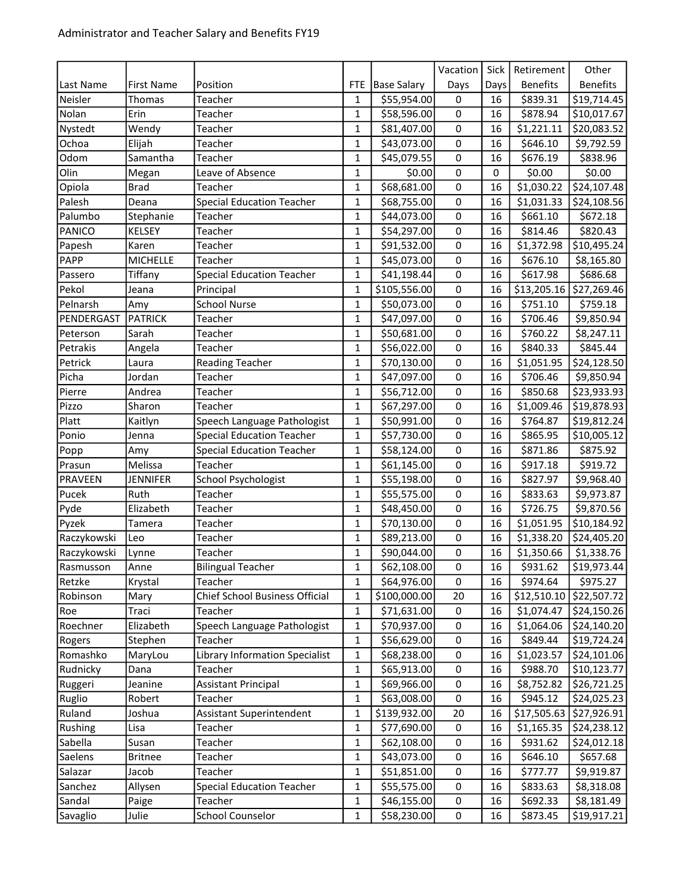|             |                   |                                       |              |                    | Vacation    | Sick        | Retirement      | Other                     |
|-------------|-------------------|---------------------------------------|--------------|--------------------|-------------|-------------|-----------------|---------------------------|
| Last Name   | <b>First Name</b> | Position                              | <b>FTE</b>   | <b>Base Salary</b> | Days        | Days        | <b>Benefits</b> | <b>Benefits</b>           |
| Neisler     | Thomas            | Teacher                               | 1            | \$55,954.00        | 0           | 16          | \$839.31        | \$19,714.45               |
| Nolan       | Erin              | Teacher                               | 1            | \$58,596.00        | $\pmb{0}$   | 16          | \$878.94        | \$10,017.67               |
| Nystedt     | Wendy             | Teacher                               | $\mathbf 1$  | \$81,407.00        | $\mathbf 0$ | 16          | \$1,221.11      | \$20,083.52               |
| Ochoa       | Elijah            | Teacher                               | 1            | \$43,073.00        | 0           | 16          | \$646.10        | \$9,792.59                |
| Odom        | Samantha          | Teacher                               | 1            | \$45,079.55        | 0           | 16          | \$676.19        | \$838.96                  |
| Olin        | Megan             | Leave of Absence                      | $\mathbf 1$  | \$0.00             | $\mathsf 0$ | $\mathbf 0$ | \$0.00          | \$0.00                    |
| Opiola      | <b>Brad</b>       | Teacher                               | 1            | \$68,681.00        | 0           | 16          | \$1,030.22      | \$24,107.48               |
| Palesh      | Deana             | <b>Special Education Teacher</b>      | 1            | \$68,755.00        | 0           | 16          | \$1,031.33      | \$24,108.56               |
| Palumbo     | Stephanie         | Teacher                               | $\mathbf{1}$ | \$44,073.00        | $\mathsf 0$ | 16          | \$661.10        | \$672.18                  |
| PANICO      | <b>KELSEY</b>     | Teacher                               | 1            | \$54,297.00        | $\mathbf 0$ | 16          | \$814.46        | \$820.43                  |
| Papesh      | Karen             | Teacher                               | 1            | \$91,532.00        | 0           | 16          | \$1,372.98      | \$10,495.24               |
| PAPP        | <b>MICHELLE</b>   | Teacher                               | 1            | \$45,073.00        | $\pmb{0}$   | 16          | \$676.10        | \$8,165.80                |
| Passero     | Tiffany           | <b>Special Education Teacher</b>      | 1            | \$41,198.44        | 0           | 16          | \$617.98        | \$686.68                  |
| Pekol       | Jeana             | Principal                             | 1            | \$105,556.00       | 0           | 16          | \$13,205.16     | \$27,269.46               |
| Pelnarsh    | Amy               | <b>School Nurse</b>                   | 1            | \$50,073.00        | $\pmb{0}$   | 16          | \$751.10        | \$759.18                  |
| PENDERGAST  | <b>PATRICK</b>    | Teacher                               | 1            | \$47,097.00        | $\mathbf 0$ | 16          | \$706.46        | \$9,850.94                |
| Peterson    | Sarah             | Teacher                               | 1            | \$50,681.00        | 0           | 16          | \$760.22        | \$8,247.11                |
| Petrakis    | Angela            | Teacher                               | 1            | \$56,022.00        | 0           | 16          | \$840.33        | \$845.44                  |
| Petrick     | Laura             | <b>Reading Teacher</b>                | 1            | \$70,130.00        | 0           | 16          | \$1,051.95      | \$24,128.50               |
| Picha       | Jordan            | Teacher                               | 1            | \$47,097.00        | 0           | 16          | \$706.46        | \$9,850.94                |
| Pierre      | Andrea            | Teacher                               | 1            | \$56,712.00        | 0           | 16          | \$850.68        | \$23,933.93               |
| Pizzo       | Sharon            | Teacher                               | 1            | \$67,297.00        | 0           | 16          | \$1,009.46      | \$19,878.93               |
| Platt       | Kaitlyn           | Speech Language Pathologist           | 1            | \$50,991.00        | 0           | 16          | \$764.87        | \$19,812.24               |
| Ponio       | Jenna             | <b>Special Education Teacher</b>      | 1            | \$57,730.00        | 0           | 16          | \$865.95        | \$10,005.12               |
| Popp        | Amy               | <b>Special Education Teacher</b>      | 1            | \$58,124.00        | $\pmb{0}$   | 16          | \$871.86        | \$875.92                  |
| Prasun      | Melissa           | Teacher                               | 1            | \$61,145.00        | 0           | 16          | \$917.18        | \$919.72                  |
| PRAVEEN     | <b>JENNIFER</b>   | School Psychologist                   | 1            | \$55,198.00        | 0           | 16          | \$827.97        | \$9,968.40                |
| Pucek       | Ruth              | Teacher                               | $\mathbf{1}$ | \$55,575.00        | $\mathbf 0$ | 16          | \$833.63        | \$9,973.87                |
| Pyde        | Elizabeth         | Teacher                               | 1            | \$48,450.00        | 0           | 16          | \$726.75        | \$9,870.56                |
| Pyzek       | Tamera            | Teacher                               | 1            | \$70,130.00        | 0           | 16          | \$1,051.95      | \$10,184.92               |
| Raczykowski | Leo               | Teacher                               | $\mathbf{1}$ | \$89,213.00        | $\mathsf 0$ | 16          | \$1,338.20      | \$24,405.20               |
| Raczykowski | Lynne             | Teacher                               | 1            | \$90,044.00        | 0           | 16          | \$1,350.66      | \$1,338.76                |
| Rasmusson   | Anne              | <b>Bilingual Teacher</b>              | $\mathbf 1$  | \$62,108.00        | $\mathsf 0$ | 16          | \$931.62        | $\overline{$19,973.44}$   |
| Retzke      | Krystal           | Teacher                               | $\mathbf{1}$ | \$64,976.00        | 0           | 16          | \$974.64        | \$975.27                  |
| Robinson    | Mary              | Chief School Business Official        | 1            | \$100,000.00       | 20          | 16          | \$12,510.10     | \$22,507.72               |
| Roe         | Traci             | Teacher                               | 1            | \$71,631.00        | 0           | 16          | \$1,074.47      | \$24,150.26               |
| Roechner    | Elizabeth         | Speech Language Pathologist           | 1            | \$70,937.00        | 0           | 16          | \$1,064.06      | \$24,140.20               |
| Rogers      | Stephen           | Teacher                               | 1            | \$56,629.00        | 0           | 16          | \$849.44        | \$19,724.24               |
| Romashko    | MaryLou           | <b>Library Information Specialist</b> | 1            | \$68,238.00        | 0           | 16          | \$1,023.57      | \$24,101.06               |
| Rudnicky    | Dana              | Teacher                               | 1            | \$65,913.00        | 0           | 16          | \$988.70        | \$10,123.77               |
| Ruggeri     | Jeanine           | <b>Assistant Principal</b>            | 1            | \$69,966.00        | 0           | 16          | \$8,752.82      | \$26,721.25               |
| Ruglio      | Robert            | Teacher                               | 1            | \$63,008.00        | 0           | 16          | \$945.12        | \$24,025.23               |
| Ruland      | Joshua            | Assistant Superintendent              | 1            | \$139,932.00       | 20          | 16          |                 | $$17,505.63$ $$27,926.91$ |
| Rushing     | Lisa              | Teacher                               | 1            | \$77,690.00        | 0           | 16          | \$1,165.35      | \$24,238.12               |
| Sabella     | Susan             | Teacher                               | 1            | \$62,108.00        | 0           | 16          | \$931.62        | \$24,012.18               |
| Saelens     | <b>Britnee</b>    | Teacher                               | 1            | \$43,073.00        | 0           | 16          | \$646.10        | \$657.68                  |
| Salazar     | Jacob             | Teacher                               | 1            | \$51,851.00        | 0           | 16          | \$777.77        | \$9,919.87                |
| Sanchez     | Allysen           | <b>Special Education Teacher</b>      | 1            | \$55,575.00        | 0           | 16          | \$833.63        | \$8,318.08                |
| Sandal      | Paige             | Teacher                               | 1            | \$46,155.00        | 0           | 16          | \$692.33        | \$8,181.49                |
| Savaglio    | Julie             | <b>School Counselor</b>               | 1            | \$58,230.00        | 0           | 16          | \$873.45        | \$19,917.21               |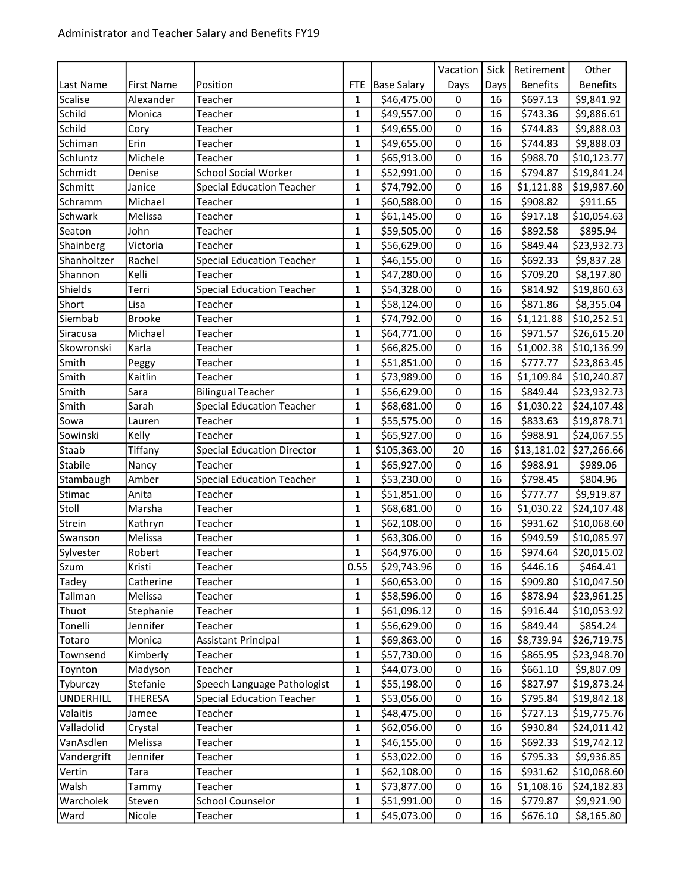|                  |                |                                   |              |                    | Vacation    | Sick | Retirement      | Other                     |
|------------------|----------------|-----------------------------------|--------------|--------------------|-------------|------|-----------------|---------------------------|
| Last Name        | First Name     | Position                          | <b>FTE</b>   | <b>Base Salary</b> | Days        | Days | <b>Benefits</b> | <b>Benefits</b>           |
| Scalise          | Alexander      | Teacher                           | $\mathbf{1}$ | \$46,475.00        | 0           | 16   | \$697.13        | \$9,841.92                |
| Schild           | Monica         | Teacher                           | 1            | \$49,557.00        | 0           | 16   | \$743.36        | \$9,886.61                |
| Schild           | Cory           | Teacher                           | $\mathbf 1$  | \$49,655.00        | 0           | 16   | \$744.83        | \$9,888.03                |
| Schiman          | Erin           | Teacher                           | 1            | \$49,655.00        | $\mathbf 0$ | 16   | \$744.83        | \$9,888.03                |
| Schluntz         | Michele        | Teacher                           | 1            | \$65,913.00        | $\mathbf 0$ | 16   | \$988.70        | \$10,123.77               |
| Schmidt          | Denise         | <b>School Social Worker</b>       | 1            | \$52,991.00        | 0           | 16   | \$794.87        | \$19,841.24               |
| Schmitt          | Janice         | <b>Special Education Teacher</b>  | 1            | \$74,792.00        | $\pmb{0}$   | 16   | \$1,121.88      | \$19,987.60               |
| Schramm          | Michael        | Teacher                           | 1            | \$60,588.00        | 0           | 16   | \$908.82        | \$911.65                  |
| Schwark          | Melissa        | Teacher                           | 1            | \$61,145.00        | 0           | 16   | \$917.18        | \$10,054.63               |
| Seaton           | John           | Teacher                           | $\mathbf 1$  | \$59,505.00        | 0           | 16   | \$892.58        | \$895.94                  |
| Shainberg        | Victoria       | Teacher                           | 1            | \$56,629.00        | 0           | 16   | \$849.44        | \$23,932.73               |
| Shanholtzer      | Rachel         | <b>Special Education Teacher</b>  | 1            | \$46,155.00        | 0           | 16   | \$692.33        | \$9,837.28                |
| Shannon          | Kelli          | Teacher                           | 1            | \$47,280.00        | $\pmb{0}$   | 16   | \$709.20        | \$8,197.80                |
| Shields          | Terri          | <b>Special Education Teacher</b>  | 1            | \$54,328.00        | 0           | 16   | \$814.92        | \$19,860.63               |
| Short            | Lisa           | Teacher                           | 1            | \$58,124.00        | 0           | 16   | \$871.86        | \$8,355.04                |
| Siembab          | <b>Brooke</b>  | Teacher                           | $\mathbf 1$  | \$74,792.00        | $\mathbf 0$ | 16   | \$1,121.88      | \$10,252.51               |
| Siracusa         | Michael        | Teacher                           | 1            | \$64,771.00        | 0           | 16   | \$971.57        | \$26,615.20               |
| Skowronski       | Karla          | Teacher                           | 1            | \$66,825.00        | $\mathbf 0$ | 16   | \$1,002.38      | \$10,136.99               |
| Smith            | Peggy          | Teacher                           | $\mathbf 1$  | \$51,851.00        | $\mathsf 0$ | 16   | \$777.77        | \$23,863.45               |
| Smith            | Kaitlin        | Teacher                           | 1            | \$73,989.00        | 0           | 16   | \$1,109.84      | \$10,240.87               |
| Smith            | Sara           | <b>Bilingual Teacher</b>          | 1            | \$56,629.00        | 0           | 16   | \$849.44        | \$23,932.73               |
| Smith            | Sarah          | <b>Special Education Teacher</b>  | $\mathbf 1$  | \$68,681.00        | $\pmb{0}$   | 16   | \$1,030.22      | \$24,107.48               |
| Sowa             | Lauren         | Teacher                           | $\mathbf 1$  | \$55,575.00        | $\mathbf 0$ | 16   | \$833.63        | \$19,878.71               |
| Sowinski         | Kelly          | Teacher                           | 1            | \$65,927.00        | 0           | 16   | \$988.91        | \$24,067.55               |
| Staab            | Tiffany        | <b>Special Education Director</b> | $\mathbf 1$  | \$105,363.00       | 20          | 16   |                 | $$13,181.02$ $$27,266.66$ |
| Stabile          | Nancy          | Teacher                           | 1            | \$65,927.00        | $\pmb{0}$   | 16   | \$988.91        | \$989.06                  |
| Stambaugh        | Amber          | <b>Special Education Teacher</b>  | 1            | \$53,230.00        | 0           | 16   | \$798.45        | \$804.96                  |
| Stimac           | Anita          | Teacher                           | $\mathbf{1}$ | \$51,851.00        | 0           | 16   | \$777.77        | \$9,919.87                |
| Stoll            | Marsha         | Teacher                           | 1            | \$68,681.00        | $\mathbf 0$ | 16   | \$1,030.22      | \$24,107.48               |
| Strein           | Kathryn        | Teacher                           | 1            | \$62,108.00        | 0           | 16   | \$931.62        | \$10,068.60               |
| Swanson          | Melissa        | Teacher                           | 1            | \$63,306.00        | 0           | 16   | \$949.59        | \$10,085.97               |
| Sylvester        | Robert         | Teacher                           | 1            | \$64,976.00        | 0           | 16   | \$974.64        | \$20,015.02               |
| Szum             | Kristi         | Teacher                           | 0.55         | \$29,743.96        | 0           | 16   | \$446.16        | \$464.41                  |
| Tadey            | Catherine      | Teacher                           | 1            | \$60,653.00        | 0           | 16   | \$909.80        | \$10,047.50               |
| Tallman          | Melissa        | Teacher                           | 1            | \$58,596.00        | 0           | 16   | \$878.94        | \$23,961.25               |
| Thuot            | Stephanie      | Teacher                           | 1            | \$61,096.12        | 0           | 16   | \$916.44        | \$10,053.92               |
| Tonelli          | Jennifer       | Teacher                           | 1            | \$56,629.00        | 0           | 16   | \$849.44        | \$854.24                  |
| Totaro           | Monica         | <b>Assistant Principal</b>        | 1            | \$69,863.00        | 0           | 16   | \$8,739.94      | \$26,719.75               |
| Townsend         | Kimberly       | Teacher                           | 1            | \$57,730.00        | 0           | 16   | \$865.95        | \$23,948.70               |
| Toynton          | Madyson        | Teacher                           | 1            | \$44,073.00        | 0           | 16   | \$661.10        | \$9,807.09                |
| Tyburczy         | Stefanie       | Speech Language Pathologist       | 1            | \$55,198.00        | 0           | 16   | \$827.97        | \$19,873.24               |
| <b>UNDERHILL</b> | <b>THERESA</b> | <b>Special Education Teacher</b>  | 1            | \$53,056.00        | 0           | 16   | \$795.84        | \$19,842.18               |
| Valaitis         | Jamee          | Teacher                           | 1            | \$48,475.00        | 0           | 16   | \$727.13        | \$19,775.76               |
| Valladolid       | Crystal        | Teacher                           | 1            | \$62,056.00        | $\pmb{0}$   | 16   | \$930.84        | \$24,011.42               |
| VanAsdlen        | Melissa        | Teacher                           | 1            | \$46,155.00        | 0           | 16   | \$692.33        | \$19,742.12               |
| Vandergrift      | Jennifer       | Teacher                           | 1            | \$53,022.00        | 0           | 16   | \$795.33        | \$9,936.85                |
| Vertin           | Tara           | Teacher                           | $\mathbf 1$  | \$62,108.00        | 0           | 16   | \$931.62        | \$10,068.60               |
| Walsh            | Tammy          | Teacher                           | 1            | \$73,877.00        | 0           | 16   | \$1,108.16      | \$24,182.83               |
| Warcholek        | Steven         | <b>School Counselor</b>           | 1            | \$51,991.00        | 0           | 16   | \$779.87        | \$9,921.90                |
| Ward             | Nicole         | Teacher                           | 1            | \$45,073.00        | 0           | 16   | \$676.10        | \$8,165.80                |